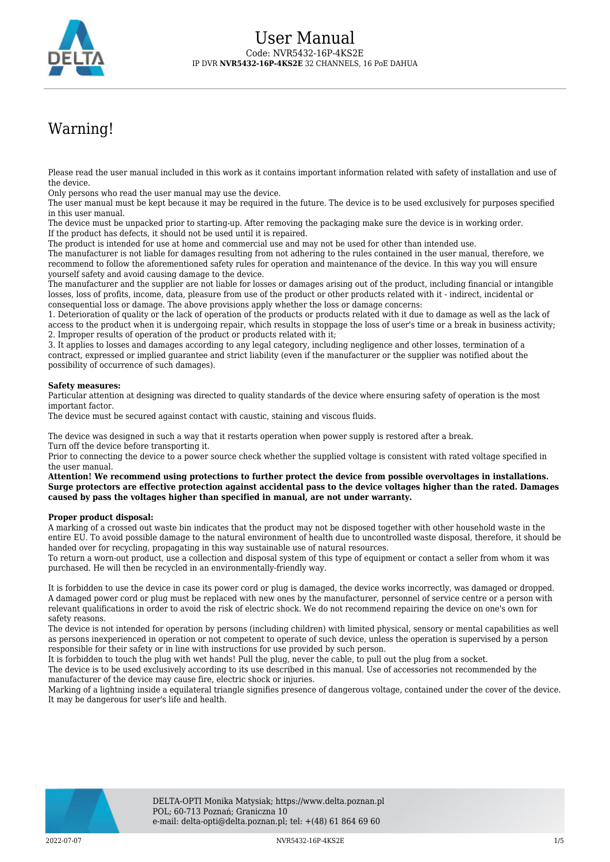

# Warning!

Please read the user manual included in this work as it contains important information related with safety of installation and use of the device.

Only persons who read the user manual may use the device.

The user manual must be kept because it may be required in the future. The device is to be used exclusively for purposes specified in this user manual.

The device must be unpacked prior to starting-up. After removing the packaging make sure the device is in working order. If the product has defects, it should not be used until it is repaired.

The product is intended for use at home and commercial use and may not be used for other than intended use.

The manufacturer is not liable for damages resulting from not adhering to the rules contained in the user manual, therefore, we recommend to follow the aforementioned safety rules for operation and maintenance of the device. In this way you will ensure yourself safety and avoid causing damage to the device.

The manufacturer and the supplier are not liable for losses or damages arising out of the product, including financial or intangible losses, loss of profits, income, data, pleasure from use of the product or other products related with it - indirect, incidental or consequential loss or damage. The above provisions apply whether the loss or damage concerns:

1. Deterioration of quality or the lack of operation of the products or products related with it due to damage as well as the lack of access to the product when it is undergoing repair, which results in stoppage the loss of user's time or a break in business activity; 2. Improper results of operation of the product or products related with it;

3. It applies to losses and damages according to any legal category, including negligence and other losses, termination of a contract, expressed or implied guarantee and strict liability (even if the manufacturer or the supplier was notified about the possibility of occurrence of such damages).

#### **Safety measures:**

Particular attention at designing was directed to quality standards of the device where ensuring safety of operation is the most important factor.

The device must be secured against contact with caustic, staining and viscous fluids.

The device was designed in such a way that it restarts operation when power supply is restored after a break. Turn off the device before transporting it.

Prior to connecting the device to a power source check whether the supplied voltage is consistent with rated voltage specified in the user manual.

**Attention! We recommend using protections to further protect the device from possible overvoltages in installations. Surge protectors are effective protection against accidental pass to the device voltages higher than the rated. Damages caused by pass the voltages higher than specified in manual, are not under warranty.**

#### **Proper product disposal:**

A marking of a crossed out waste bin indicates that the product may not be disposed together with other household waste in the entire EU. To avoid possible damage to the natural environment of health due to uncontrolled waste disposal, therefore, it should be handed over for recycling, propagating in this way sustainable use of natural resources.

To return a worn-out product, use a collection and disposal system of this type of equipment or contact a seller from whom it was purchased. He will then be recycled in an environmentally-friendly way.

It is forbidden to use the device in case its power cord or plug is damaged, the device works incorrectly, was damaged or dropped. A damaged power cord or plug must be replaced with new ones by the manufacturer, personnel of service centre or a person with relevant qualifications in order to avoid the risk of electric shock. We do not recommend repairing the device on one's own for safety reasons.

The device is not intended for operation by persons (including children) with limited physical, sensory or mental capabilities as well as persons inexperienced in operation or not competent to operate of such device, unless the operation is supervised by a person responsible for their safety or in line with instructions for use provided by such person.

It is forbidden to touch the plug with wet hands! Pull the plug, never the cable, to pull out the plug from a socket.

The device is to be used exclusively according to its use described in this manual. Use of accessories not recommended by the manufacturer of the device may cause fire, electric shock or injuries.

Marking of a lightning inside a equilateral triangle signifies presence of dangerous voltage, contained under the cover of the device. It may be dangerous for user's life and health.

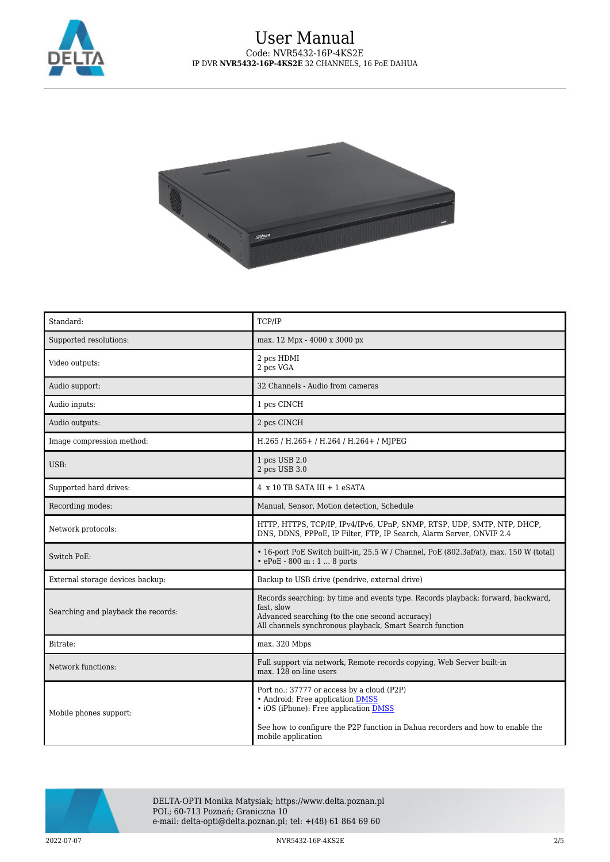



| Standard:                           | TCP/IP                                                                                                                                                                                                                          |
|-------------------------------------|---------------------------------------------------------------------------------------------------------------------------------------------------------------------------------------------------------------------------------|
| Supported resolutions:              | max. 12 Mpx - 4000 x 3000 px                                                                                                                                                                                                    |
| Video outputs:                      | 2 pcs HDMI<br>2 pcs VGA                                                                                                                                                                                                         |
| Audio support:                      | 32 Channels - Audio from cameras                                                                                                                                                                                                |
| Audio inputs:                       | 1 pcs CINCH                                                                                                                                                                                                                     |
| Audio outputs:                      | 2 pcs CINCH                                                                                                                                                                                                                     |
| Image compression method:           | H.265 / H.265+ / H.264 / H.264+ / MJPEG                                                                                                                                                                                         |
| USB:                                | 1 pcs USB 2.0<br>2 pcs USB 3.0                                                                                                                                                                                                  |
| Supported hard drives:              | 4 x 10 TB SATA III + 1 eSATA                                                                                                                                                                                                    |
| Recording modes:                    | Manual, Sensor, Motion detection, Schedule                                                                                                                                                                                      |
| Network protocols:                  | HTTP, HTTPS, TCP/IP, IPv4/IPv6, UPnP, SNMP, RTSP, UDP, SMTP, NTP, DHCP,<br>DNS, DDNS, PPPoE, IP Filter, FTP, IP Search, Alarm Server, ONVIF 2.4                                                                                 |
| Switch PoE:                         | • 16-port PoE Switch built-in, 25.5 W / Channel, PoE (802.3af/at), max. 150 W (total)<br>• ePoE - 800 m : 1  8 ports                                                                                                            |
| External storage devices backup:    | Backup to USB drive (pendrive, external drive)                                                                                                                                                                                  |
| Searching and playback the records: | Records searching: by time and events type. Records playback: forward, backward,<br>fast, slow<br>Advanced searching (to the one second accuracy)<br>All channels synchronous playback, Smart Search function                   |
| Bitrate:                            | max. 320 Mbps                                                                                                                                                                                                                   |
| Network functions:                  | Full support via network, Remote records copying, Web Server built-in<br>max. 128 on-line users                                                                                                                                 |
| Mobile phones support:              | Port no.: 37777 or access by a cloud (P2P)<br>• Android: Free application DMSS<br>• iOS (iPhone): Free application DMSS<br>See how to configure the P2P function in Dahua recorders and how to enable the<br>mobile application |



DELTA-OPTI Monika Matysiak; https://www.delta.poznan.pl POL; 60-713 Poznań; Graniczna 10 e-mail: delta-opti@delta.poznan.pl; tel: +(48) 61 864 69 60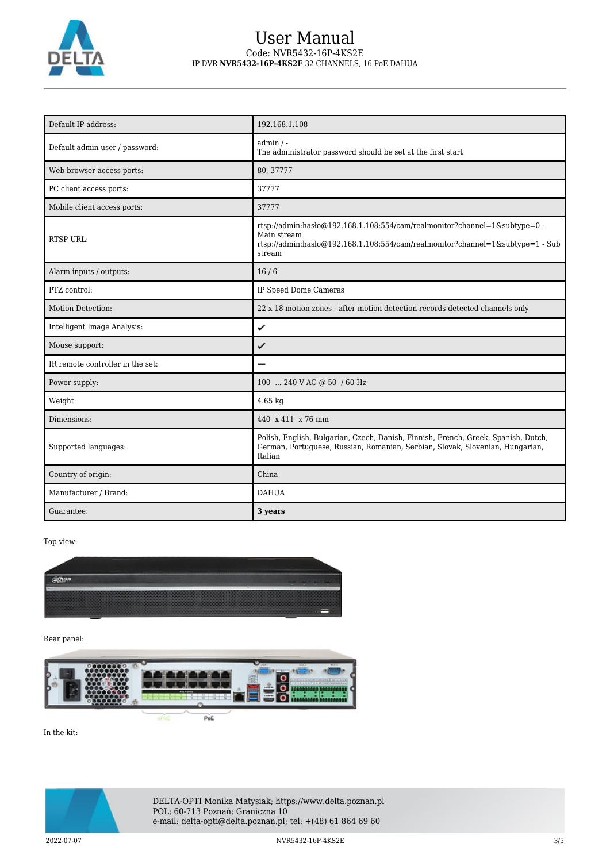

### User Manual Code: NVR5432-16P-4KS2E IP DVR **NVR5432-16P-4KS2E** 32 CHANNELS, 16 PoE DAHUA

| Default IP address:              | 192.168.1.108                                                                                                                                                                            |
|----------------------------------|------------------------------------------------------------------------------------------------------------------------------------------------------------------------------------------|
| Default admin user / password:   | $admin / -$<br>The administrator password should be set at the first start                                                                                                               |
| Web browser access ports:        | 80, 37777                                                                                                                                                                                |
| PC client access ports:          | 37777                                                                                                                                                                                    |
| Mobile client access ports:      | 37777                                                                                                                                                                                    |
| <b>RTSP URL:</b>                 | rtsp://admin.hasb $@192.168.1.108.554/cam/realmonitor?channel=1$ &subtype=0 -<br>Main stream<br>rtsp://admin.hasho@192.168.1.108:554/cam/realmonitor?channel=1&subtype=1 - Sub<br>stream |
| Alarm inputs / outputs:          | 16/6                                                                                                                                                                                     |
| PTZ control:                     | IP Speed Dome Cameras                                                                                                                                                                    |
| Motion Detection:                | 22 x 18 motion zones - after motion detection records detected channels only                                                                                                             |
| Intelligent Image Analysis:      | ✓                                                                                                                                                                                        |
| Mouse support:                   | ✓                                                                                                                                                                                        |
| IR remote controller in the set: |                                                                                                                                                                                          |
| Power supply:                    | 100  240 V AC @ 50 / 60 Hz                                                                                                                                                               |
| Weight:                          | $4.65$ kg                                                                                                                                                                                |
| Dimensions:                      | 440 x 411 x 76 mm                                                                                                                                                                        |
| Supported languages:             | Polish, English, Bulgarian, Czech, Danish, Finnish, French, Greek, Spanish, Dutch,<br>German, Portuguese, Russian, Romanian, Serbian, Slovak, Slovenian, Hungarian,<br>Italian           |
| Country of origin:               | China                                                                                                                                                                                    |
| Manufacturer / Brand:            | <b>DAHUA</b>                                                                                                                                                                             |
| Guarantee:                       | 3 years                                                                                                                                                                                  |

Top view:



Rear panel:



In the kit:



DELTA-OPTI Monika Matysiak; https://www.delta.poznan.pl POL; 60-713 Poznań; Graniczna 10 e-mail: delta-opti@delta.poznan.pl; tel: +(48) 61 864 69 60

2022-07-07 NVR5432-16P-4KS2E 3/5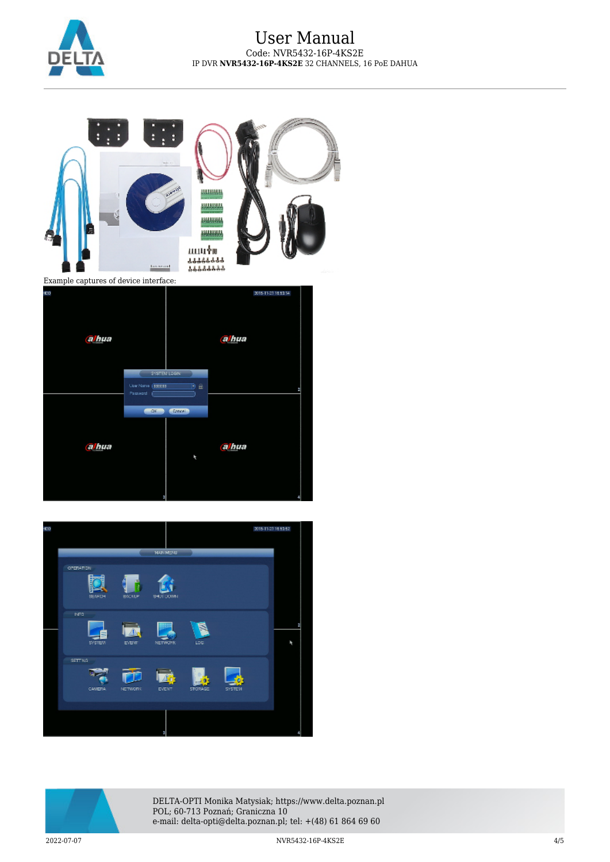

## User Manual Code: NVR5432-16P-4KS2E IP DVR **NVR5432-16P-4KS2E** 32 CHANNELS, 16 PoE DAHUA









DELTA-OPTI Monika Matysiak; https://www.delta.poznan.pl POL; 60-713 Poznań; Graniczna 10 e-mail: delta-opti@delta.poznan.pl; tel: +(48) 61 864 69 60